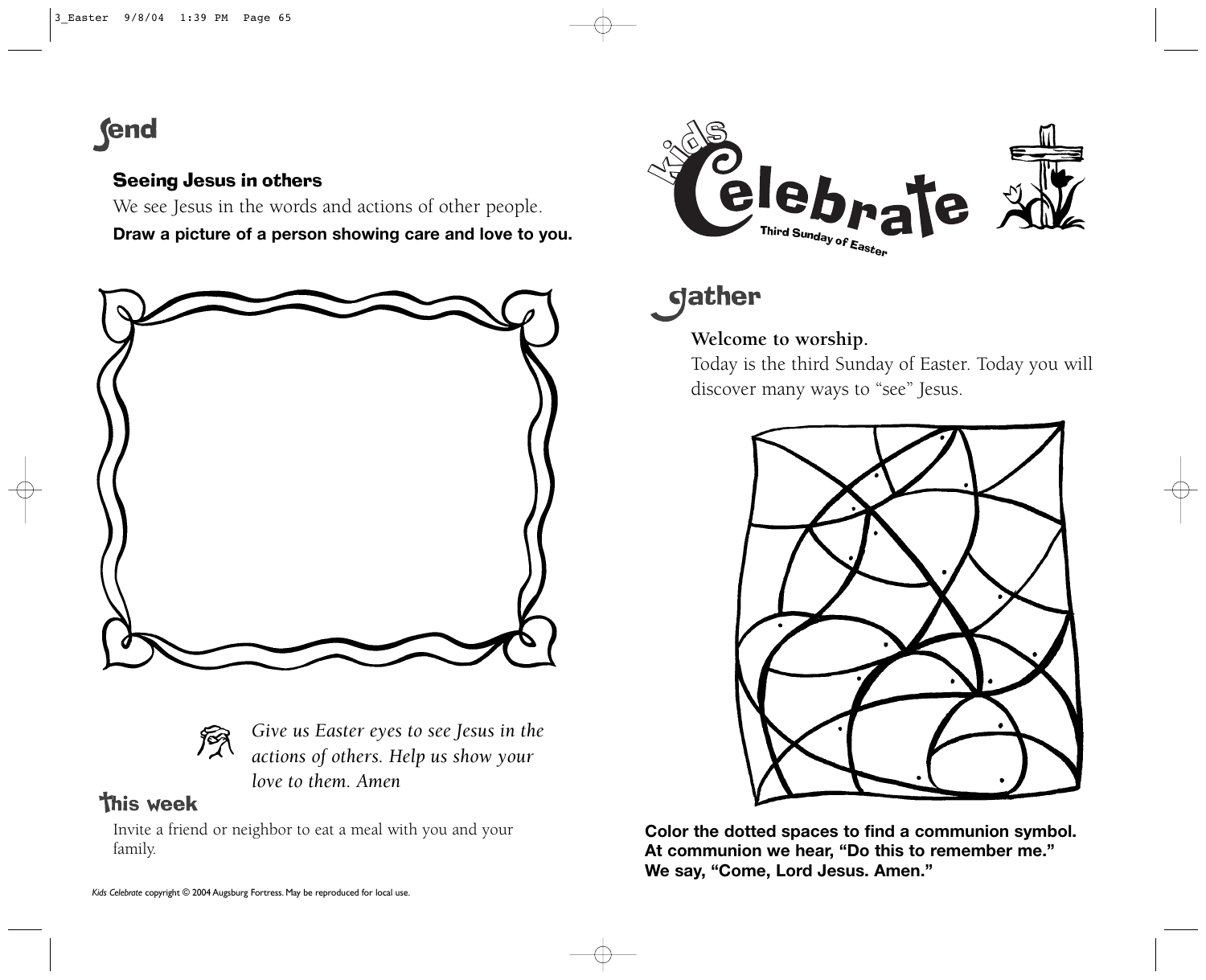# **fend**

#### Seeing Jesus in others

We see Jesus in the words and actions of other people.

**Draw a picture of a person showing care and love to you.** 





*Give us Easter eyes to see Jesus in the actions of others. Help us show your love to them. Amen*

## **This week**

Invite a friend or neighbor to eat a meal with you and your family.



**gather** 

### **Welcome to worship.**

Today is the third Sunday of Easter. Today you will discover many ways to "see" Jesus.



**Color the dotted spaces to find a communion symbol. At communion we hear, "Do this to remember me." We say, "Come, Lord Jesus. Amen."**